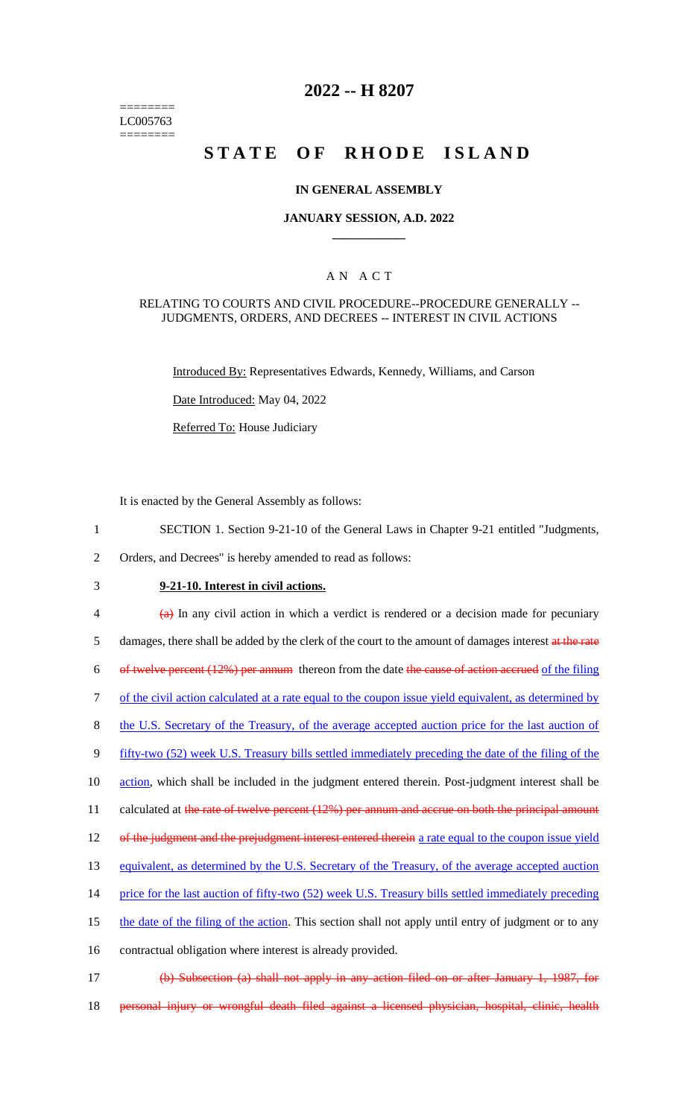======== LC005763 ========

## **2022 -- H 8207**

# **STATE OF RHODE ISLAND**

### **IN GENERAL ASSEMBLY**

### **JANUARY SESSION, A.D. 2022 \_\_\_\_\_\_\_\_\_\_\_\_**

## A N A C T

#### RELATING TO COURTS AND CIVIL PROCEDURE--PROCEDURE GENERALLY -- JUDGMENTS, ORDERS, AND DECREES -- INTEREST IN CIVIL ACTIONS

Introduced By: Representatives Edwards, Kennedy, Williams, and Carson

Date Introduced: May 04, 2022

Referred To: House Judiciary

It is enacted by the General Assembly as follows:

- 1 SECTION 1. Section 9-21-10 of the General Laws in Chapter 9-21 entitled "Judgments,
- 2 Orders, and Decrees" is hereby amended to read as follows:
- 

## 3 **9-21-10. Interest in civil actions.**

 $\frac{4}{9}$  In any civil action in which a verdict is rendered or a decision made for pecuniary

5 damages, there shall be added by the clerk of the court to the amount of damages interest at the rate

6 of twelve percent (12%) per annum thereon from the date the cause of action accrued of the filing

7 of the civil action calculated at a rate equal to the coupon issue yield equivalent, as determined by

8 the U.S. Secretary of the Treasury, of the average accepted auction price for the last auction of

9 fifty-two (52) week U.S. Treasury bills settled immediately preceding the date of the filing of the

10 action, which shall be included in the judgment entered therein. Post-judgment interest shall be

11 calculated at the rate of twelve percent (12%) per annum and accrue on both the principal amount

- 12 of the judgment and the prejudgment interest entered therein a rate equal to the coupon issue yield
- 13 equivalent, as determined by the U.S. Secretary of the Treasury, of the average accepted auction
- 14 price for the last auction of fifty-two (52) week U.S. Treasury bills settled immediately preceding
- 15 the date of the filing of the action. This section shall not apply until entry of judgment or to any

16 contractual obligation where interest is already provided.

- 17 (b) Subsection (a) shall not apply in any action filed on or after January 1, 1987, for
- 18 personal injury or wrongful death filed against a licensed physician, hospital, clinic, health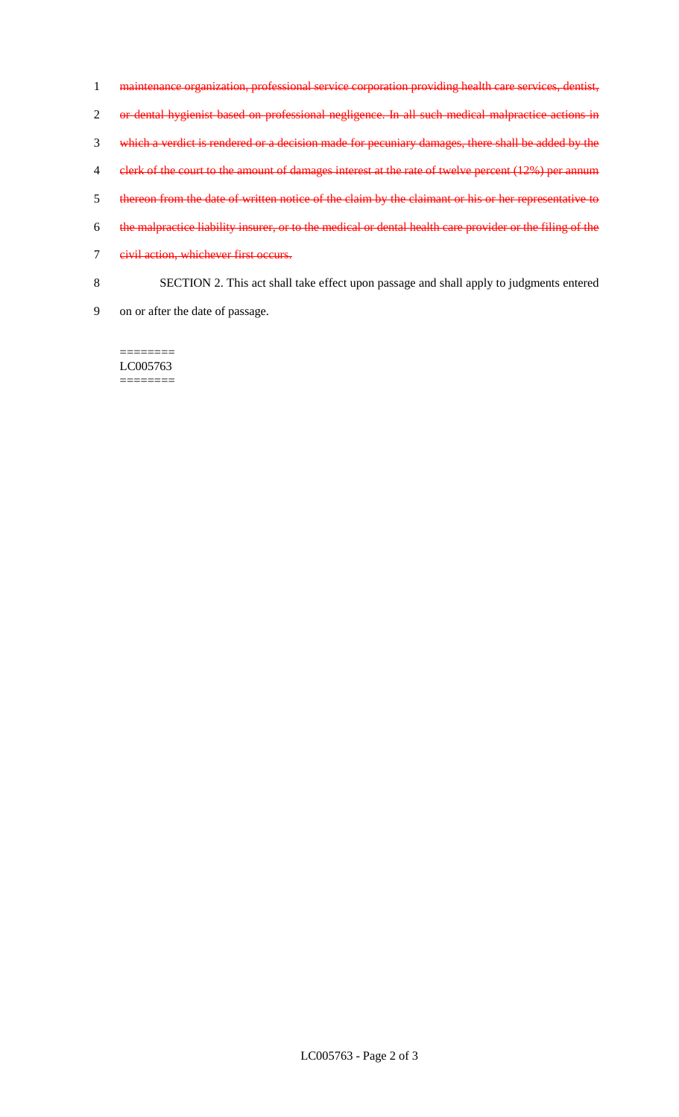- maintenance organization, professional service corporation providing health care services, dentist, or dental hygienist based on professional negligence. In all such medical malpractice actions in which a verdict is rendered or a decision made for pecuniary damages, there shall be added by the 4 clerk of the court to the amount of damages interest at the rate of twelve percent (12%) per annum thereon from the date of written notice of the claim by the claimant or his or her representative to the malpractice liability insurer, or to the medical or dental health care provider or the filing of the civil action, whichever first occurs. SECTION 2. This act shall take effect upon passage and shall apply to judgments entered
- on or after the date of passage.

LC005763 ========

========